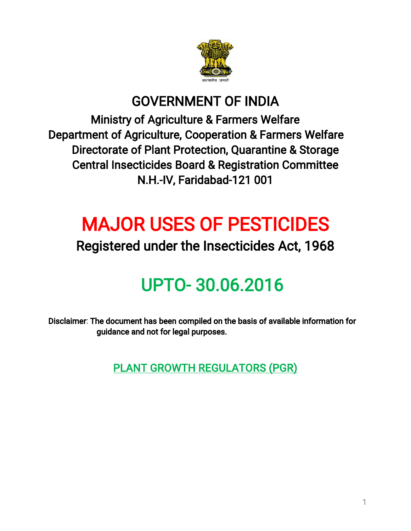

## GOVERNMENT OF INDIA

Ministry of Agriculture & Farmers Welfare Department of Agriculture, Cooperation & Farmers Welfare Directorate of Plant Protection, Quarantine & Storage Central Insecticides Board & Registration Committee N.H.-IV, Faridabad-121 001

# **MAJOR USES OF PESTICIDES**

## Registered under the Insecticides Act, 1968

# UPTO-30.06.2016

Disclaimer: The document has been compiled on the basis of available information for guidance and not for legal purposes.

PLANT GROWTH REGULATORS (PGR)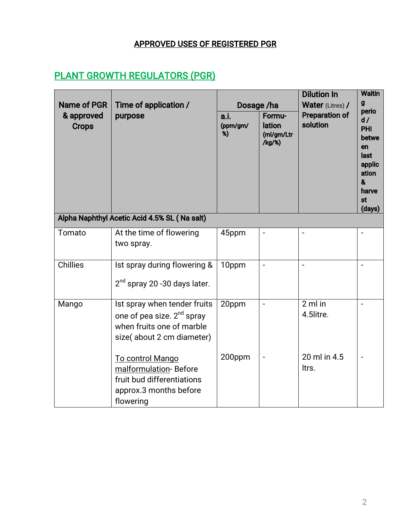#### APPROVED USES OF REGISTERED PGR

### **PLANT GROWTH REGULATORS (PGR)**

| <b>Name of PGR</b><br>& approved<br><b>Crops</b> | Time of application /<br>purpose                                                                                                 | Dosage /ha<br>Formu-<br>a.i.<br>lation<br>(ppm/gm/<br>%)<br>(ml/gm/Ltr<br>/kg/%) |                          | <b>Dilution In</b><br><b>Water</b> (Litres) /<br><b>Preparation of</b><br>solution | <b>Waitin</b><br>g<br>perio<br>d /<br><b>PHI</b><br>betwe<br>en<br>last |
|--------------------------------------------------|----------------------------------------------------------------------------------------------------------------------------------|----------------------------------------------------------------------------------|--------------------------|------------------------------------------------------------------------------------|-------------------------------------------------------------------------|
|                                                  |                                                                                                                                  |                                                                                  |                          |                                                                                    | applic<br>ation<br>&<br>harve<br>st<br>(days)                           |
|                                                  | Alpha Naphthyl Acetic Acid 4.5% SL (Na salt)                                                                                     |                                                                                  |                          |                                                                                    |                                                                         |
| Tomato                                           | At the time of flowering<br>two spray.                                                                                           | 45ppm                                                                            |                          |                                                                                    |                                                                         |
| <b>Chillies</b>                                  | Ist spray during flowering &<br>$2nd$ spray 20 -30 days later.                                                                   | 10ppm                                                                            | $\overline{a}$           | $\overline{\phantom{a}}$                                                           | $\ddot{\phantom{1}}$                                                    |
| Mango                                            | Ist spray when tender fruits<br>one of pea size. 2 <sup>nd</sup> spray<br>when fruits one of marble<br>size(about 2 cm diameter) | 20ppm                                                                            | $\overline{\phantom{a}}$ | $2$ ml in<br>4.5litre.                                                             | $\sim$                                                                  |
|                                                  | To control Mango<br>malformulation-Before<br>fruit bud differentiations<br>approx.3 months before<br>flowering                   | 200ppm                                                                           | $\overline{\phantom{a}}$ | 20 ml in 4.5<br>ltrs.                                                              | $\blacksquare$                                                          |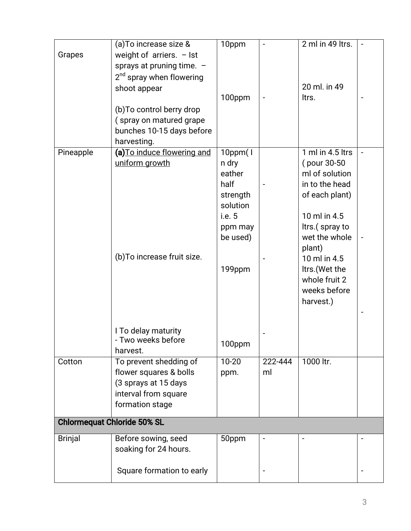|                | $\overline{(a)}$ To increase size & | 10ppm          |         | 2 ml in 49 ltrs. |                |
|----------------|-------------------------------------|----------------|---------|------------------|----------------|
| Grapes         | weight of arriers. $-$ lst          |                |         |                  |                |
|                | sprays at pruning time. -           |                |         |                  |                |
|                | $2nd$ spray when flowering          |                |         |                  |                |
|                | shoot appear                        |                |         | 20 ml. in 49     |                |
|                |                                     | 100ppm         |         | ltrs.            |                |
|                | (b) To control berry drop           |                |         |                  |                |
|                | (spray on matured grape             |                |         |                  |                |
|                | bunches 10-15 days before           |                |         |                  |                |
|                | harvesting.                         |                |         |                  |                |
| Pineapple      | (a) To induce flowering and         | $10$ ppm $(1)$ |         | 1 ml in 4.5 ltrs | $\blacksquare$ |
|                | uniform growth                      | n dry          |         | (pour 30-50)     |                |
|                |                                     | eather         |         | ml of solution   |                |
|                |                                     | half           |         | in to the head   |                |
|                |                                     | strength       |         | of each plant)   |                |
|                |                                     | solution       |         |                  |                |
|                |                                     | i.e. 5         |         | 10 ml in 4.5     |                |
|                |                                     | ppm may        |         | ltrs.(spray to   |                |
|                |                                     | be used)       |         | wet the whole    |                |
|                |                                     |                |         | plant)           |                |
|                | (b) To increase fruit size.         |                |         | 10 ml in 4.5     |                |
|                |                                     | 199ppm         |         | Itrs.(Wet the    |                |
|                |                                     |                |         | whole fruit 2    |                |
|                |                                     |                |         | weeks before     |                |
|                |                                     |                |         | harvest.)        |                |
|                |                                     |                |         |                  |                |
|                | I To delay maturity                 |                |         |                  |                |
|                | - Two weeks before                  |                |         |                  |                |
|                | harvest.                            | 100ppm         |         |                  |                |
| Cotton         | To prevent shedding of              | $10 - 20$      | 222-444 | 1000 ltr.        |                |
|                | flower squares & bolls              | ppm.           | ml      |                  |                |
|                | (3 sprays at 15 days                |                |         |                  |                |
|                | interval from square                |                |         |                  |                |
|                | formation stage                     |                |         |                  |                |
|                |                                     |                |         |                  |                |
|                | <b>Chlormequat Chloride 50% SL</b>  |                |         |                  |                |
| <b>Brinjal</b> | Before sowing, seed                 | 50ppm          |         |                  |                |
|                | soaking for 24 hours.               |                |         |                  |                |
|                |                                     |                |         |                  |                |
|                | Square formation to early           |                |         |                  |                |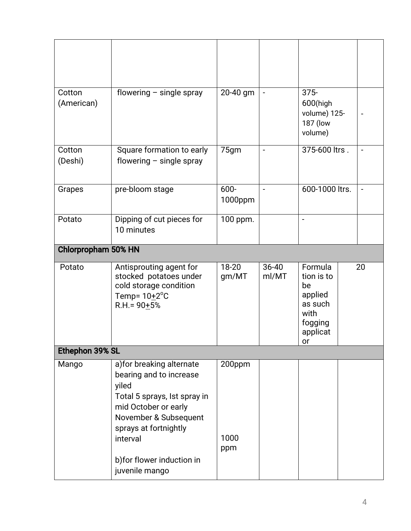| flowering $-$ single spray                                                                                                                                                          | 20-40 gm              |                    | $375 -$<br>600(high<br>volume) 125-<br>187 (low<br>volume)                             |    |  |  |  |  |
|-------------------------------------------------------------------------------------------------------------------------------------------------------------------------------------|-----------------------|--------------------|----------------------------------------------------------------------------------------|----|--|--|--|--|
| Square formation to early<br>flowering $-$ single spray                                                                                                                             | 75gm                  | $\blacksquare$     | 375-600 ltrs.                                                                          |    |  |  |  |  |
| pre-bloom stage                                                                                                                                                                     | 600-<br>1000ppm       | $\blacksquare$     | 600-1000 ltrs.                                                                         |    |  |  |  |  |
| Dipping of cut pieces for<br>10 minutes                                                                                                                                             | 100 ppm.              |                    |                                                                                        |    |  |  |  |  |
| <b>Chlorpropham 50% HN</b>                                                                                                                                                          |                       |                    |                                                                                        |    |  |  |  |  |
| Antisprouting agent for<br>stocked potatoes under<br>cold storage condition<br>Temp= $10+2$ <sup>o</sup> C<br>$R.H. = 90 \pm 5\%$                                                   | 18-20<br>gm/MT        | $36 - 40$<br>ml/MT | Formula<br>tion is to<br>be<br>applied<br>as such<br>with<br>fogging<br>applicat<br>or | 20 |  |  |  |  |
| Ethephon 39% SL                                                                                                                                                                     |                       |                    |                                                                                        |    |  |  |  |  |
| a) for breaking alternate<br>bearing and to increase<br>yiled<br>Total 5 sprays, lst spray in<br>mid October or early<br>November & Subsequent<br>sprays at fortnightly<br>interval | 200ppm<br>1000<br>ppm |                    |                                                                                        |    |  |  |  |  |
|                                                                                                                                                                                     |                       |                    |                                                                                        |    |  |  |  |  |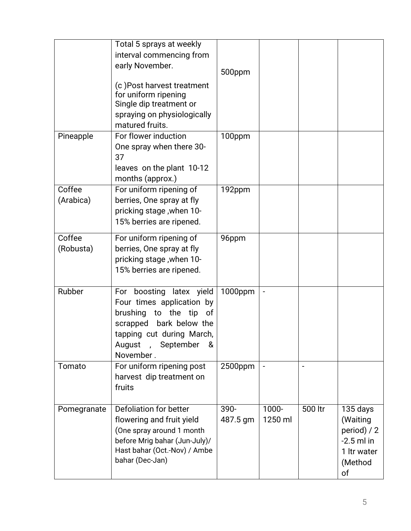|                     | Total 5 sprays at weekly<br>interval commencing from<br>early November.<br>(c) Post harvest treatment<br>for uniform ripening<br>Single dip treatment or<br>spraying on physiologically<br>matured fruits. | 500ppm           |                  |                          |                                                                                     |
|---------------------|------------------------------------------------------------------------------------------------------------------------------------------------------------------------------------------------------------|------------------|------------------|--------------------------|-------------------------------------------------------------------------------------|
| Pineapple           | For flower induction<br>One spray when there 30-<br>37<br>leaves on the plant 10-12<br>months (approx.)                                                                                                    | 100ppm           |                  |                          |                                                                                     |
| Coffee<br>(Arabica) | For uniform ripening of<br>berries, One spray at fly<br>pricking stage, when 10-<br>15% berries are ripened.                                                                                               | 192ppm           |                  |                          |                                                                                     |
| Coffee<br>(Robusta) | For uniform ripening of<br>berries, One spray at fly<br>pricking stage, when 10-<br>15% berries are ripened.                                                                                               | 96ppm            |                  |                          |                                                                                     |
| Rubber              | For boosting latex yield<br>Four times application by<br>to the<br>brushing<br>tip<br>оf<br>scrapped bark below the<br>tapping cut during March,<br>August<br>, September<br>&<br>November.                | 1000ppm          |                  |                          |                                                                                     |
| Tomato              | For uniform ripening post<br>harvest dip treatment on<br>fruits                                                                                                                                            | 2500ppm          | $\blacksquare$   | $\overline{\phantom{a}}$ |                                                                                     |
| Pomegranate         | Defoliation for better<br>flowering and fruit yield<br>(One spray around 1 month<br>before Mrig bahar (Jun-July)/<br>Hast bahar (Oct.-Nov) / Ambe<br>bahar (Dec-Jan)                                       | 390-<br>487.5 gm | 1000-<br>1250 ml | 500 ltr                  | 135 days<br>(Waiting<br>period) / 2<br>$-2.5$ ml in<br>1 Itr water<br>(Method<br>of |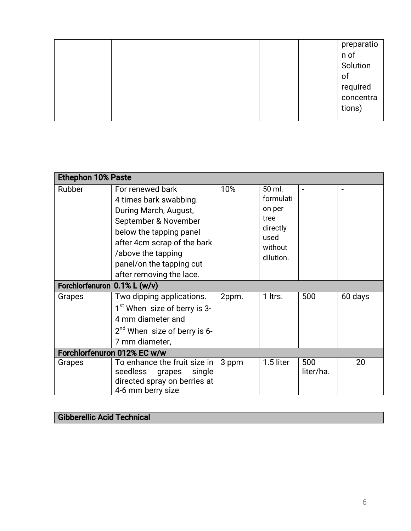|  | preparatio<br>n of<br>Solution<br>of<br>required<br>concentra<br>tions) |
|--|-------------------------------------------------------------------------|
|--|-------------------------------------------------------------------------|

| <b>Ethephon 10% Paste</b>    |                                                                                                                                                                                                                                     |       |                                                                                   |                  |         |  |
|------------------------------|-------------------------------------------------------------------------------------------------------------------------------------------------------------------------------------------------------------------------------------|-------|-----------------------------------------------------------------------------------|------------------|---------|--|
| Rubber                       | For renewed bark<br>4 times bark swabbing.<br>During March, August,<br>September & November<br>below the tapping panel<br>after 4cm scrap of the bark<br>/above the tapping<br>panel/on the tapping cut<br>after removing the lace. | 10%   | 50 ml.<br>formulati<br>on per<br>tree<br>directly<br>used<br>without<br>dilution. |                  |         |  |
| Forchlorfenuron 0.1% L (w/v) |                                                                                                                                                                                                                                     |       |                                                                                   |                  |         |  |
| Grapes                       | Two dipping applications.<br>1 <sup>st</sup> When size of berry is 3-<br>4 mm diameter and<br>$2^{nd}$ When size of berry is 6-<br>7 mm diameter,                                                                                   | 2ppm. | 1 ltrs.                                                                           | 500              | 60 days |  |
|                              | Forchlorfenuron 012% EC w/w                                                                                                                                                                                                         |       |                                                                                   |                  |         |  |
| Grapes                       | To enhance the fruit size in<br>seedless<br>grapes<br>single<br>directed spray on berries at<br>4-6 mm berry size                                                                                                                   | 3 ppm | 1.5 liter                                                                         | 500<br>liter/ha. | 20      |  |

## Gibberellic Acid Technical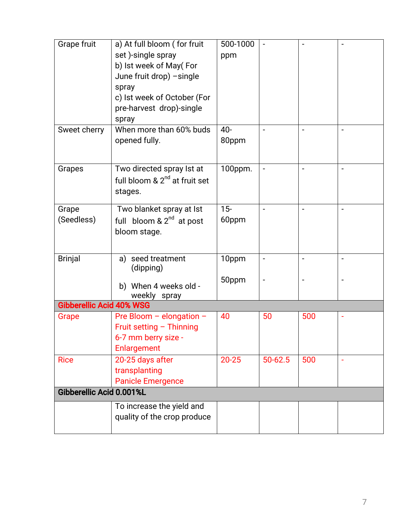| Grape fruit                     | a) At full bloom (for fruit                              | 500-1000  |                |     |  |
|---------------------------------|----------------------------------------------------------|-----------|----------------|-----|--|
|                                 | set)-single spray                                        | ppm       |                |     |  |
|                                 | b) Ist week of May(For                                   |           |                |     |  |
|                                 | June fruit drop) - single                                |           |                |     |  |
|                                 | spray                                                    |           |                |     |  |
|                                 | c) Ist week of October (For                              |           |                |     |  |
|                                 | pre-harvest drop)-single                                 |           |                |     |  |
|                                 | spray                                                    |           |                |     |  |
| Sweet cherry                    | When more than 60% buds                                  | $40-$     |                |     |  |
|                                 | opened fully.                                            | 80ppm     |                |     |  |
|                                 |                                                          |           |                |     |  |
|                                 |                                                          |           |                |     |  |
| Grapes                          | Two directed spray Ist at                                | 100ppm.   |                |     |  |
|                                 | full bloom & 2 <sup>nd</sup> at fruit set                |           |                |     |  |
|                                 | stages.                                                  |           |                |     |  |
|                                 |                                                          |           |                |     |  |
| Grape                           | Two blanket spray at Ist                                 | $15 -$    |                |     |  |
| (Seedless)                      | full bloom $\& 2nd$ at post                              | 60ppm     |                |     |  |
|                                 | bloom stage.                                             |           |                |     |  |
|                                 |                                                          |           |                |     |  |
|                                 |                                                          |           |                |     |  |
| <b>Brinjal</b>                  | a) seed treatment                                        | 10ppm     |                |     |  |
|                                 | (dipping)                                                |           |                |     |  |
|                                 |                                                          | 50ppm     | $\overline{a}$ |     |  |
|                                 | b) When 4 weeks old -                                    |           |                |     |  |
|                                 | weekly spray                                             |           |                |     |  |
| <b>Gibberellic Acid 40% WSG</b> |                                                          |           |                |     |  |
| Grape                           | Pre Bloom - elongation -                                 | 40        | 50             | 500 |  |
|                                 | Fruit setting - Thinning                                 |           |                |     |  |
|                                 | 6-7 mm berry size -                                      |           |                |     |  |
|                                 | Enlargement                                              |           |                |     |  |
| <b>Rice</b>                     | 20-25 days after                                         | $20 - 25$ | 50-62.5        | 500 |  |
|                                 | transplanting                                            |           |                |     |  |
|                                 | <b>Panicle Emergence</b>                                 |           |                |     |  |
| Gibberellic Acid 0.001%L        |                                                          |           |                |     |  |
|                                 |                                                          |           |                |     |  |
|                                 |                                                          |           |                |     |  |
|                                 |                                                          |           |                |     |  |
|                                 | To increase the yield and<br>quality of the crop produce |           |                |     |  |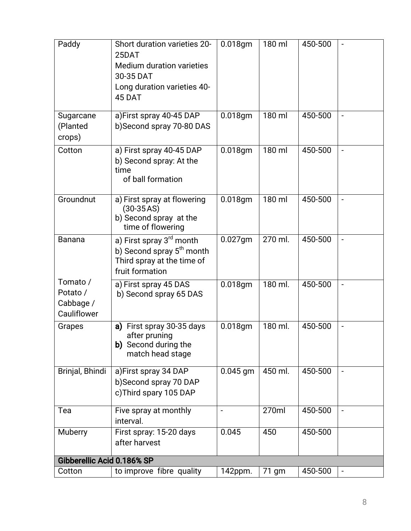| Paddy                                            | Short duration varieties 20-<br>25DAT<br><b>Medium duration varieties</b><br>30-35 DAT<br>Long duration varieties 40-<br>45 DAT | $0.018$ gm | 180 ml  | 450-500 |                              |
|--------------------------------------------------|---------------------------------------------------------------------------------------------------------------------------------|------------|---------|---------|------------------------------|
| Sugarcane<br>(Planted<br>crops)                  | a)First spray 40-45 DAP<br>b)Second spray 70-80 DAS                                                                             | $0.018$ gm | 180 ml  | 450-500 | $\blacksquare$               |
| Cotton                                           | a) First spray 40-45 DAP<br>b) Second spray: At the<br>time<br>of ball formation                                                | 0.018gm    | 180 ml  | 450-500 | $\qquad \qquad \blacksquare$ |
| Groundnut                                        | a) First spray at flowering<br>$(30-35AS)$<br>b) Second spray at the<br>time of flowering                                       | 0.018gm    | 180 ml  | 450-500 | $\blacksquare$               |
| <b>Banana</b>                                    | a) First spray 3 <sup>rd</sup> month<br>b) Second spray 5 <sup>th</sup> month<br>Third spray at the time of<br>fruit formation  | $0.027$ gm | 270 ml. | 450-500 | $\overline{\phantom{0}}$     |
| Tomato /<br>Potato /<br>Cabbage /<br>Cauliflower | a) First spray 45 DAS<br>b) Second spray 65 DAS                                                                                 | 0.018gm    | 180 ml. | 450-500 | $\blacksquare$               |
| Grapes                                           | First spray 30-35 days<br>a)<br>after pruning<br>b) Second during the<br>match head stage                                       | 0.018gm    | 180 ml. | 450-500 | $\overline{a}$               |
| Brinjal, Bhindi                                  | a)First spray 34 DAP<br>b)Second spray 70 DAP<br>c)Third spary 105 DAP                                                          | $0.045$ gm | 450 ml. | 450-500 |                              |
| Tea                                              | Five spray at monthly<br>interval.                                                                                              | -          | 270ml   | 450-500 |                              |
| Muberry                                          | First spray: 15-20 days<br>after harvest                                                                                        | 0.045      | 450     | 450-500 |                              |
| Gibberellic Acid 0.186% SP                       |                                                                                                                                 |            |         |         |                              |
| Cotton                                           | to improve fibre quality                                                                                                        | 142ppm.    | 71 gm   | 450-500 | $\qquad \qquad \blacksquare$ |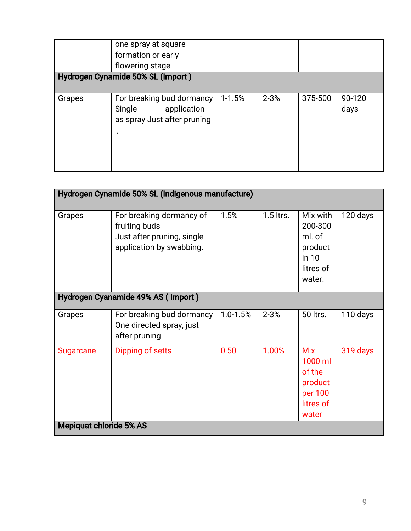|        | one spray at square<br>formation or early<br>flowering stage<br>Hydrogen Cynamide 50% SL (Import) |            |          |         |        |
|--------|---------------------------------------------------------------------------------------------------|------------|----------|---------|--------|
|        |                                                                                                   |            |          |         |        |
| Grapes | For breaking bud dormancy                                                                         | $1 - 1.5%$ | $2 - 3%$ | 375-500 | 90-120 |
|        | application<br>Single                                                                             |            |          |         | days   |
|        | as spray Just after pruning                                                                       |            |          |         |        |
|        |                                                                                                   |            |          |         |        |
|        |                                                                                                   |            |          |         |        |
|        |                                                                                                   |            |          |         |        |
|        |                                                                                                   |            |          |         |        |

|                                    | Hydrogen Cynamide 50% SL (Indigenous manufacture)                                                   |          |             |                                                                             |          |  |
|------------------------------------|-----------------------------------------------------------------------------------------------------|----------|-------------|-----------------------------------------------------------------------------|----------|--|
| Grapes                             | For breaking dormancy of<br>fruiting buds<br>Just after pruning, single<br>application by swabbing. | 1.5%     | $1.5$ ltrs. | Mix with<br>200-300<br>ml. of<br>product<br>in 10<br>litres of<br>water.    | 120 days |  |
| Hydrogen Cyanamide 49% AS (Import) |                                                                                                     |          |             |                                                                             |          |  |
| Grapes                             | For breaking bud dormancy<br>One directed spray, just<br>after pruning.                             | 1.0-1.5% | $2 - 3%$    | 50 ltrs.                                                                    | 110 days |  |
| <b>Sugarcane</b>                   | Dipping of setts                                                                                    | 0.50     | 1.00%       | <b>Mix</b><br>1000 ml<br>of the<br>product<br>per 100<br>litres of<br>water | 319 days |  |
| <b>Mepiquat chloride 5% AS</b>     |                                                                                                     |          |             |                                                                             |          |  |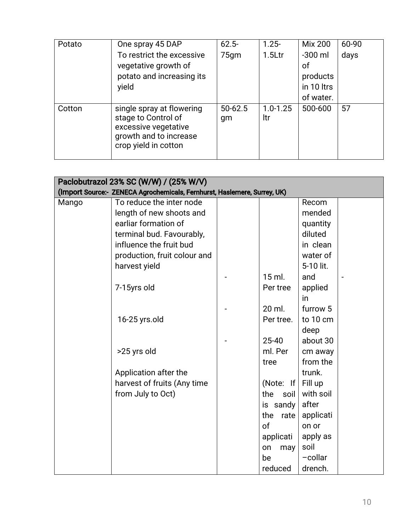| Potato | One spray 45 DAP                                                                                                           | $62.5 -$          | $1.25 -$            | <b>Mix 200</b>                                         | 60-90 |
|--------|----------------------------------------------------------------------------------------------------------------------------|-------------------|---------------------|--------------------------------------------------------|-------|
|        | To restrict the excessive<br>vegetative growth of<br>potato and increasing its<br>yield                                    | 75 <sub>gm</sub>  | 1.5 <sub>ctr</sub>  | $-300$ ml<br>οf<br>products<br>in 10 ltrs<br>of water. | days  |
| Cotton | single spray at flowering<br>stage to Control of<br>excessive vegetative<br>growth and to increase<br>crop yield in cotton | $50 - 62.5$<br>gm | $1.0 - 1.25$<br>ltr | 500-600                                                | 57    |

| Paclobutrazol 23% SC (W/W) / (25% W/V)<br>(Import Source:- ZENECA Agrochemicals, Fernhurst, Haslemere, Surrey, UK) |                              |  |               |           |                |  |
|--------------------------------------------------------------------------------------------------------------------|------------------------------|--|---------------|-----------|----------------|--|
| Mango                                                                                                              | To reduce the inter node     |  |               | Recom     |                |  |
|                                                                                                                    | length of new shoots and     |  |               | mended    |                |  |
|                                                                                                                    | earliar formation of         |  |               | quantity  |                |  |
|                                                                                                                    | terminal bud. Favourably,    |  |               | diluted   |                |  |
|                                                                                                                    | influence the fruit bud      |  |               | in clean  |                |  |
|                                                                                                                    | production, fruit colour and |  |               | water of  |                |  |
|                                                                                                                    | harvest yield                |  |               | 5-10 lit. |                |  |
|                                                                                                                    |                              |  | $15$ ml.      | and       | $\overline{a}$ |  |
|                                                                                                                    | 7-15yrs old                  |  | Per tree      | applied   |                |  |
|                                                                                                                    |                              |  |               | in        |                |  |
|                                                                                                                    |                              |  | 20 ml.        | furrow 5  |                |  |
|                                                                                                                    | 16-25 yrs.old                |  | Per tree.     | to 10 cm  |                |  |
|                                                                                                                    |                              |  |               | deep      |                |  |
|                                                                                                                    |                              |  | 25-40         | about 30  |                |  |
|                                                                                                                    | >25 yrs old                  |  | ml. Per       | cm away   |                |  |
|                                                                                                                    |                              |  | tree          | from the  |                |  |
|                                                                                                                    | Application after the        |  |               | trunk.    |                |  |
|                                                                                                                    | harvest of fruits (Any time  |  | (Note: If $ $ | Fill up   |                |  |
|                                                                                                                    | from July to Oct)            |  | the<br>soil   | with soil |                |  |
|                                                                                                                    |                              |  | is sandy      | after     |                |  |
|                                                                                                                    |                              |  | the rate      | applicati |                |  |
|                                                                                                                    |                              |  | of            | on or     |                |  |
|                                                                                                                    |                              |  | applicati     | apply as  |                |  |
|                                                                                                                    |                              |  | on<br>may     | soil      |                |  |
|                                                                                                                    |                              |  | be            | $-collar$ |                |  |
|                                                                                                                    |                              |  | reduced       | drench.   |                |  |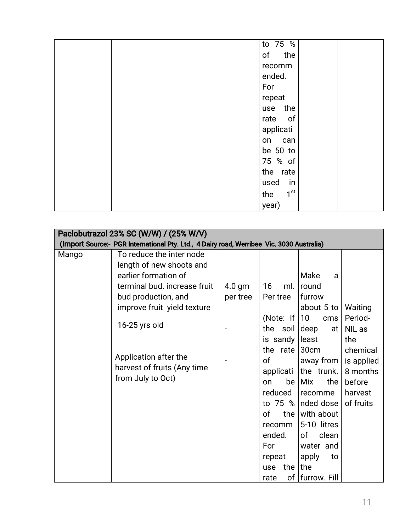| to 75 %                |
|------------------------|
| of the                 |
| recomm                 |
| ended.                 |
| For                    |
| repeat                 |
| use the                |
| rate of                |
| applicati              |
| on can                 |
| be 50 to               |
| 75 % of                |
| the rate               |
| used<br>in             |
| 1 <sup>st</sup><br>the |
| year)                  |

|       | Paclobutrazol 23% SC (W/W) / (25% W/V)<br>(Import Source:- PGR International Pty. Ltd., 4 Dairy road, Werribee Vic. 3030 Australia) |          |               |                        |            |
|-------|-------------------------------------------------------------------------------------------------------------------------------------|----------|---------------|------------------------|------------|
| Mango | To reduce the inter node                                                                                                            |          |               |                        |            |
|       | length of new shoots and                                                                                                            |          |               |                        |            |
|       | earlier formation of                                                                                                                |          |               | Make<br>a              |            |
|       | terminal bud. increase fruit                                                                                                        | $4.0$ gm | 16<br>ml.     | round                  |            |
|       | bud production, and                                                                                                                 | per tree | Per tree      | furrow                 |            |
|       | improve fruit yield texture                                                                                                         |          |               | about 5 to             | Waiting    |
|       |                                                                                                                                     |          | (Note: If     | 10 <sup>°</sup><br>cms | Period-    |
|       | $16-25$ yrs old                                                                                                                     |          | the soil      | deep<br>at             | NIL as     |
|       |                                                                                                                                     |          | is sandy $ $  | least                  | the        |
|       |                                                                                                                                     |          | the rate      | 30cm                   | chemical   |
|       | Application after the                                                                                                               |          | <sub>of</sub> | away from              | is applied |
|       | harvest of fruits (Any time                                                                                                         |          | applicati     | the trunk.             | 8 months   |
|       | from July to Oct)                                                                                                                   |          | be<br>on      | Mix<br>the             | before     |
|       |                                                                                                                                     |          | reduced       | recomme                | harvest    |
|       |                                                                                                                                     |          | to 75 $%$     | nded dose              | of fruits  |
|       |                                                                                                                                     |          | of<br>the $ $ | with about             |            |
|       |                                                                                                                                     |          | recomm        | 5-10 litres            |            |
|       |                                                                                                                                     |          | ended.        | 0f<br>clean            |            |
|       |                                                                                                                                     |          | For           | water and              |            |
|       |                                                                                                                                     |          | repeat        | apply<br>to            |            |
|       |                                                                                                                                     |          | the<br>use    | the                    |            |
|       |                                                                                                                                     |          | rate          | of   furrow. Fill      |            |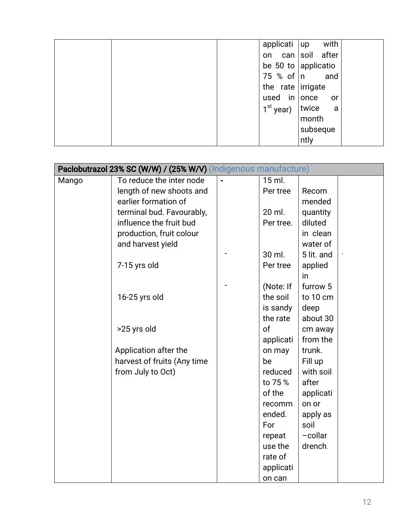| applicati  <br>with<br><b>up</b> |
|----------------------------------|
| on can soil after                |
| be 50 to applicatio              |
| 75 % of  n<br>and                |
| the rate irrigate                |
| used in once<br>or               |
| $1st$ year)   twice<br>a         |
| month                            |
| subseque                         |
| ntly                             |

| Paclobutrazol 23% SC (W/W) / (25% W/V) (Indigenous manufacture) |                             |  |           |            |  |
|-----------------------------------------------------------------|-----------------------------|--|-----------|------------|--|
| Mango                                                           | To reduce the inter node    |  | 15 ml.    |            |  |
|                                                                 | length of new shoots and    |  | Per tree  | Recom      |  |
|                                                                 | earlier formation of        |  |           | mended     |  |
|                                                                 | terminal bud. Favourably,   |  | 20 ml.    | quantity   |  |
|                                                                 | influence the fruit bud     |  | Per tree. | diluted    |  |
|                                                                 | production, fruit colour    |  |           | in clean   |  |
|                                                                 | and harvest yield           |  |           | water of   |  |
|                                                                 |                             |  | 30 ml.    | 5 lit. and |  |
|                                                                 | 7-15 yrs old                |  | Per tree  | applied    |  |
|                                                                 |                             |  |           | in         |  |
|                                                                 |                             |  | (Note: If | furrow 5   |  |
|                                                                 | 16-25 yrs old               |  | the soil  | to 10 cm   |  |
|                                                                 |                             |  | is sandy  | deep       |  |
|                                                                 |                             |  | the rate  | about 30   |  |
|                                                                 | >25 yrs old                 |  | of        | cm away    |  |
|                                                                 |                             |  | applicati | from the   |  |
|                                                                 | Application after the       |  | on may    | trunk.     |  |
|                                                                 | harvest of fruits (Any time |  | be        | Fill up    |  |
|                                                                 | from July to Oct)           |  | reduced   | with soil  |  |
|                                                                 |                             |  | to 75 %   | after      |  |
|                                                                 |                             |  | of the    | applicati  |  |
|                                                                 |                             |  | recomm    | on or      |  |
|                                                                 |                             |  | ended.    | apply as   |  |
|                                                                 |                             |  | For       | soil       |  |
|                                                                 |                             |  | repeat    | -collar    |  |
|                                                                 |                             |  | use the   | drench.    |  |
|                                                                 |                             |  | rate of   |            |  |
|                                                                 |                             |  | applicati |            |  |
|                                                                 |                             |  | on can    |            |  |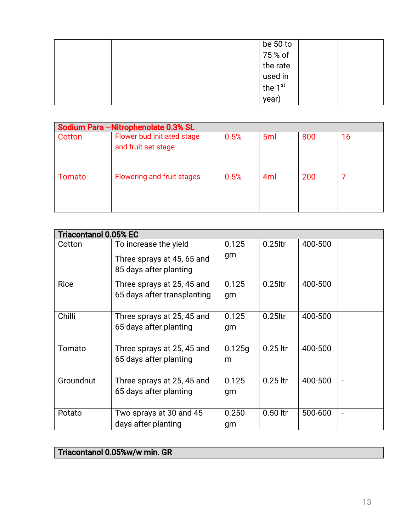| be 50 to  |  |
|-----------|--|
| 75 % of   |  |
| the rate  |  |
| used in   |  |
| the $1st$ |  |
| year)     |  |

| Sodium Para - Nitrophenolate 0.3% SL |                                                   |      |                 |     |    |  |
|--------------------------------------|---------------------------------------------------|------|-----------------|-----|----|--|
| Cotton                               | Flower bud initiated stage<br>and fruit set stage | 0.5% | 5 <sub>ml</sub> | 800 | 16 |  |
| Tomato                               | Flowering and fruit stages                        | 0.5% | 4 <sub>ml</sub> | 200 |    |  |

|             | <b>Triacontanol 0.05% EC</b>                                                  |             |            |         |                              |  |
|-------------|-------------------------------------------------------------------------------|-------------|------------|---------|------------------------------|--|
| Cotton      | To increase the yield<br>Three sprays at 45, 65 and<br>85 days after planting | 0.125<br>gm | $0.25$ ltr | 400-500 |                              |  |
| <b>Rice</b> | Three sprays at 25, 45 and<br>65 days after transplanting                     | 0.125<br>gm | $0.25$ ltr | 400-500 |                              |  |
| Chilli      | Three sprays at 25, 45 and<br>65 days after planting                          | 0.125<br>gm | $0.25$ ltr | 400-500 |                              |  |
| Tomato      | Three sprays at 25, 45 and<br>65 days after planting                          | 0.125g<br>m | $0.25$ ltr | 400-500 |                              |  |
| Groundnut   | Three sprays at 25, 45 and<br>65 days after planting                          | 0.125<br>gm | $0.25$ ltr | 400-500 | $\blacksquare$               |  |
| Potato      | Two sprays at 30 and 45<br>days after planting                                | 0.250<br>gm | $0.50$ ltr | 500-600 | $\qquad \qquad \blacksquare$ |  |

### Triacontanol 0.05%w/w min. GR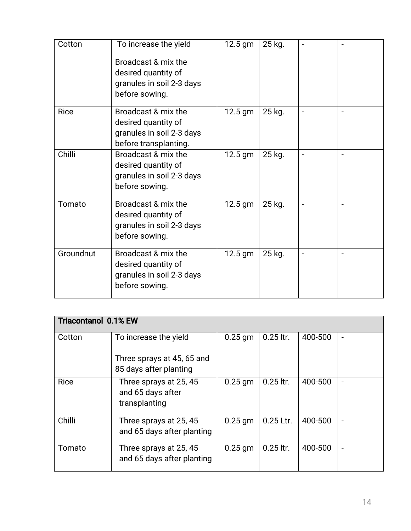| Cotton      | To increase the yield<br>Broadcast & mix the<br>desired quantity of<br>granules in soil 2-3 days<br>before sowing. | 12.5 gm   | 25 kg. | $\overline{a}$               |                          |
|-------------|--------------------------------------------------------------------------------------------------------------------|-----------|--------|------------------------------|--------------------------|
| <b>Rice</b> | Broadcast & mix the<br>desired quantity of<br>granules in soil 2-3 days<br>before transplanting.                   | 12.5 gm   | 25 kg. | $\qquad \qquad \blacksquare$ |                          |
| Chilli      | Broadcast & mix the<br>desired quantity of<br>granules in soil 2-3 days<br>before sowing.                          | 12.5 gm   | 25 kg. |                              |                          |
| Tomato      | Broadcast & mix the<br>desired quantity of<br>granules in soil 2-3 days<br>before sowing.                          | 12.5 gm   | 25 kg. | $\blacksquare$               |                          |
| Groundnut   | Broadcast & mix the<br>desired quantity of<br>granules in soil 2-3 days<br>before sowing.                          | $12.5$ gm | 25 kg. | $\overline{\phantom{a}}$     | $\overline{\phantom{a}}$ |

| <b>Triacontanol 0.1% EW</b> |                                                              |           |             |         |                          |
|-----------------------------|--------------------------------------------------------------|-----------|-------------|---------|--------------------------|
| Cotton                      | To increase the yield                                        | $0.25$ gm | $0.25$ ltr. | 400-500 | $\overline{\phantom{a}}$ |
|                             | Three sprays at 45, 65 and                                   |           |             |         |                          |
|                             | 85 days after planting                                       |           |             |         |                          |
| <b>Rice</b>                 | Three sprays at 25, 45<br>and 65 days after<br>transplanting | $0.25$ gm | $0.25$ ltr. | 400-500 | $\overline{\phantom{a}}$ |
| Chilli                      | Three sprays at 25, 45<br>and 65 days after planting         | $0.25$ gm | 0.25 Ltr.   | 400-500 | $\overline{\phantom{a}}$ |
| Tomato                      | Three sprays at 25, 45<br>and 65 days after planting         | $0.25$ gm | $0.25$ ltr. | 400-500 | $\overline{\phantom{a}}$ |